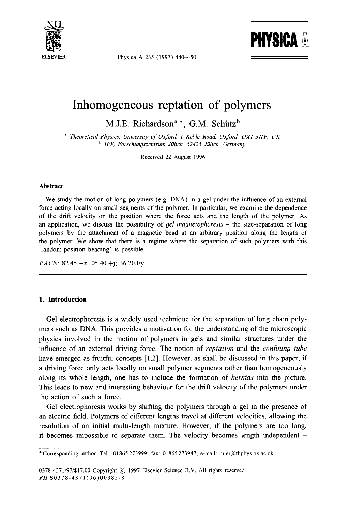

Physica A 235 (1997) 440-450



# **Inhomogeneous reptation of polymers**

**M.J.E. Richardson a,\*, G.M.** Schiitz b

*a Theoretical Physics, University of OxJbrd, 1 Keble Road, Oxford, OX1 3NP, UK*  <sup>b</sup> IFF, Forschungszentrum Jülich, 52425 Jülich, Germany

Received 22 August 1996

#### **Abstract**

We study the motion of long polymers (e.g. DNA) in a gel under the influence of an external force acting locally on small segments of the polymer. In particular, we examine the dependence of the drift velocity on the position where the force acts and the length of the polymer. As an application, we discuss the possibility of *gel magnetophoresis* - the size-separation of long polymers by the attachment of a magnetic bead at an arbitrary position along the length of the polymer. We show that there is a regime where the separation of such polymers with this 'random-position beading' is possible.

*PACS.* 82.45.+z; 05.40.+j; 36.20.Ey

# **I. Introduction**

Gel electrophoresis is a widely used technique for the separation of long chain polymers such as DNA. This provides a motivation for the understanding of the microscopic physics involved in the motion of polymers in gels and similar structures under the influence of an external driving force. The notion of *reptation* and the *confininy tube*  have emerged as fruitful concepts [1,2]. However, as shall be discussed in this paper, if a driving force only acts locally on small polymer segments rather than homogeneously along its whole length, one has to include the formation of *hernias* into the picture. This leads to new and interesting behaviour for the drift velocity of the polymers under the action of such a force.

Gel electrophoresis works by shifting the polymers through a gel in the presence of an electric field. Polymers of different lengths travel at different velocities, allowing the resolution of an initial multi-length mixture. However, if the polymers are too long, it becomes impossible to separate them. The velocity becomes length independent **-** 

<sup>\*</sup>Corresponding author. Tel.: 01865273999; fax: 01865273947; e-mail: mjer@thphys.ox.ac.uk.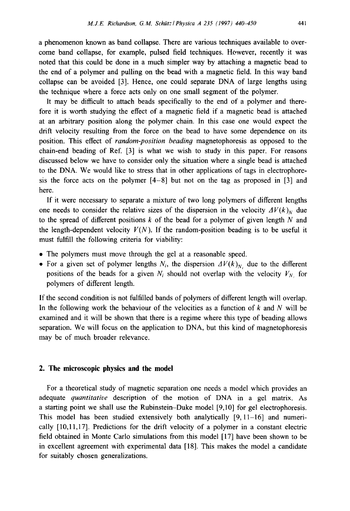a phenomenon known as band collapse. There are various techniques available to overcome band collapse, for example, pulsed field techniques. However, recently it was noted that this could be done in a much simpler way by attaching a magnetic bead to the end of a polymer and pulling on the bead with a magnetic field. In this way band collapse can be avoided [3]. Hence, one could separate DNA of large lengths using the technique where a force acts only on one small segment of the polymer.

It may be difficult to attach beads specifically to the end of a polymer and therefore it is worth studying the effect of a magnetic field if a magnetic bead is attached at an arbitrary position along the polymer chain. In this case one would expect the drift velocity resulting from the force on the bead to have some dependence on its position. This effect of *random-position beadin9* magnetophoresis as opposed to the chain-end beading of Ref. [3] is what we wish to study in this paper. For reasons discussed below we have to consider only the situation where a single bead is attached to the DNA. We would like to stress that in other applications of tags in electrophoresis the force acts on the polymer  $[4-8]$  but not on the tag as proposed in  $[3]$  and here.

If it were necessary to separate a mixture of two long polymers of different lengths one needs to consider the relative sizes of the dispersion in the velocity  $\Delta V(k)_{N}$  due to the spread of different positions  $k$  of the bead for a polymer of given length  $N$  and the length-dependent velocity  $V(N)$ . If the random-position beading is to be useful it must fulfill the following criteria for viability:

- The polymers must move through the gel at a reasonable speed.
- For a given set of polymer lengths  $N_i$ , the dispersion  $\Delta V(k)_{N_i}$  due to the different positions of the beads for a given  $N_i$  should not overlap with the velocity  $V_{N_i}$  for polymers of different length.

If the second condition is not fulfilled bands of polymers of different length will overlap. In the following work the behaviour of the velocities as a function of  $k$  and  $N$  will be examined and it will be shown that there is a regime where this type of beading allows separation. We will focus on the application to DNA, but this kind of magnetophoresis may be of much broader relevance.

## **2. The microscopic physics and the model**

For a theoretical study of magnetic separation one needs a model which provides an adequate *quantitative* description of the motion of DNA in a gel matrix. As a starting point we shall use the Rubinstein-Duke model [9,10] for gel electrophoresis. This model has been studied extensively both analytically  $[9, 11-16]$  and numerically [10,11,17]. Predictions for the drift velocity of a polymer in a constant electric field obtained in Monte Carlo simulations from this model [17] have been shown to be in excellent agreement with experimental data [18]. This makes the model a candidate for suitably chosen generalizations.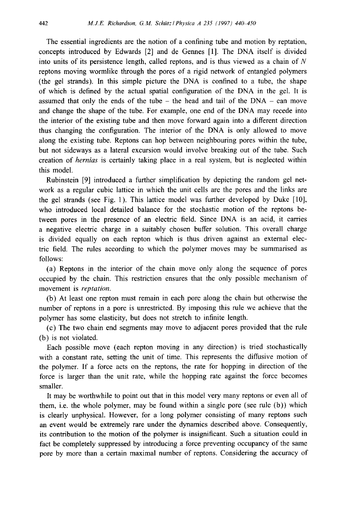The essential ingredients are the notion of a confining tube and motion by reptation, concepts introduced by Edwards [2] and de Gennes [1]. The DNA itself is divided into units of its persistence length, called reptons, and is thus viewed as a chain of  $N$ reptons moving wormlike through the pores of a rigid network of entangled polymers (the gel strands). In this simple picture the DNA is confined to a tube, the shape of which is defined by the actual spatial configuration of the DNA in the gel. It is assumed that only the ends of the tube  $-$  the head and tail of the DNA  $-$  can move and change the shape of the tube. For example, one end of the DNA may recede into the interior of the existing tube and then move forward again into a different direction thus changing the configuration. The interior of the DNA is only allowed to move along the existing tube. Reptons can hop between neighbouring pores within the tube, but not sideways as a lateral excursion would involve breaking out of the tube. Such creation of *hernias* is certainly taking place in a real system, but is neglected within this model.

Rubinstein [9] introduced a further simplification by depicting the random gel network as a regular cubic lattice in which the unit cells are the pores and the links are the gel strands (see Fig. 1). This lattice model was further developed by Duke [10], who introduced local detailed balance for the stochastic motion of the reptons between pores in the presence of an electric field. Since DNA is an acid, it carries a negative electric charge in a suitably chosen buffer solution. This overall charge is divided equally on each repton which is thus driven against an extemal electric field. The rules according to which the polymer moves may be summarised as follows:

(a) Reptons in the interior of the chain move only along the sequence of pores occupied by the chain. This restriction ensures that the only possible mechanism of movement is *reptation.* 

(b) At least one repton must remain in each pore along the chain but otherwise the number of reptons in a pore is unrestricted. By imposing this rule we achieve that the polymer has some elasticity, but does not stretch to infinite length.

(c) The two chain end segments may move to adjacent pores provided that the rule (b) is not violated.

Each possible move (each repton moving in any direction) is tried stochastically with a constant rate, setting the unit of time. This represents the diffusive motion of the polymer. If a force acts on the reptons, the rate for hopping in direction of the force is larger than the unit rate, while the hopping rate against the force becomes smaller.

It may be worthwhile to point out that in this model very many reptons or even all of them, i.e. the whole polymer, may be found within a single pore (see rule (b)) which is clearly unphysical. However, for a long polymer consisting of many reptons such an event would be extremely rare under the dynamics described above. Consequently, its contribution to the motion of the polymer is insignificant. Such a situation could in fact be completely suppressed by introducing a force preventing occupancy of the same pore by more than a certain maximal number of reptons. Considering the accuracy of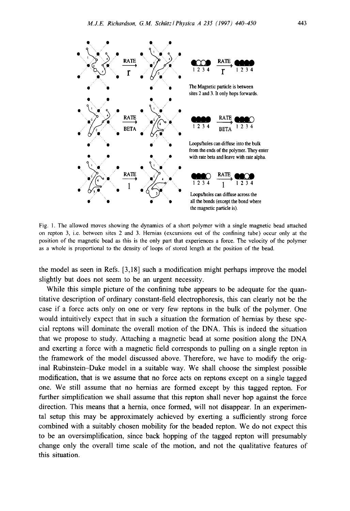

Fig. 1. The allowed moves showing the dynamics of a short polymer with a single magnetic bead attached on repton 3, i.e. between sites 2 and 3. Hernias (excursions out of the confining tube) occur only at the position of the magnetic bead as this is the only part that experiences a force. The velocity of the polymer as a whole is proportional to the density of loops of stored length at the position of the bead.

the model as seen in Refs. [3,18] such a modification might perhaps improve the model slightly but does not seem to be an urgent necessity.

While this simple picture of the confining tube appears to be adequate for the quantitative description of ordinary constant-field electrophoresis, this can clearly not be the case if a force acts only on one or very few reptons in the bulk of the polymer. One would intuitively expect that in such a situation the formation of hernias by these special reptons will dominate the overall motion of the DNA. This is indeed the situation that we propose to study. Attaching a magnetic bead at some position along the DNA and exerting a force with a magnetic field corresponds to pulling on a single repton in the framework of the model discussed above. Therefore, we have to modify the original Rubinstein-Duke model in a suitable way. We shall choose the simplest possible modification, that is we assume that no force acts on reptons except on a single tagged one. We still assume that no hernias are formed except by this tagged repton. For further simplification we shall assume that this repton shall never hop against the force direction. This means that a hernia, once formed, will not disappear. In an experimental setup this may be approximately achieved by exerting a sufficiently strong force combined with a suitably chosen mobility for the beaded repton. We do not expect this to be an oversimplification, since back hopping of the tagged repton will presumably change only the overall time scale of the motion, and not the qualitative features of this situation.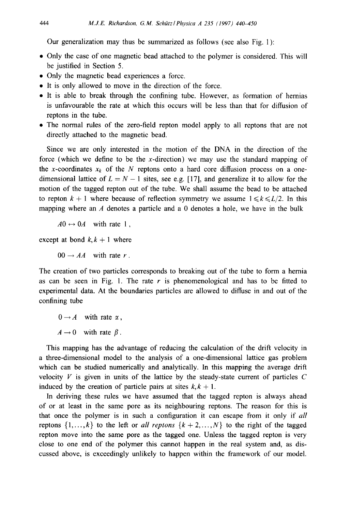Our generalization may thus be summarized as follows (see also Fig. 1):

- Only the case of one magnetic bead attached to the polymer is considered. This will be justified in Section 5.
- Only the magnetic bead experiences a force.
- It is only allowed to move in the direction of the force.
- It is able to break through the confining tube. However, as formation of hernias is unfavourable the rate at which this occurs will be less than that for diffusion of reptons in the tube.
- The normal rules of the zero-field repton model apply to all reptons that are not directly attached to the magnetic bead.

Since we are only interested in the motion of the DNA in the direction of the force (which we define to be the x-direction) we may use the standard mapping of the x-coordinates  $x_k$  of the N reptons onto a hard core diffusion process on a onedimensional lattice of  $L = N - 1$  sites, see e.g. [17], and generalize it to allow for the motion of the tagged repton out of the tube. We shall assume the bead to be attached to repton  $k + 1$  where because of reflection symmetry we assume  $1 \le k \le L/2$ . In this mapping where an  $\vec{A}$  denotes a particle and a 0 denotes a hole, we have in the bulk

 $A0 \leftrightarrow 0A$  with rate 1,

except at bond  $k, k + 1$  where

 $00 \rightarrow AA$  with rate r.

The creation of two particles corresponds to breaking out of the tube to form a hernia as can be seen in Fig. 1. The rate  $r$  is phenomenological and has to be fitted to experimental data. At the boundaries particles are allowed to diffuse in and out of the confining tube

 $0 \rightarrow A$  with rate  $\alpha$ ,  $A\rightarrow 0$  with rate  $\beta$ .

This mapping has the advantage of reducing the calculation of the drift velocity in a three-dimensional model to the analysis of a one-dimensional lattice gas problem which can be studied numerically and analytically. In this mapping the average drift velocity  $V$  is given in units of the lattice by the steady-state current of particles  $C$ induced by the creation of particle pairs at sites  $k, k + 1$ .

In deriving these rules we have assumed that the tagged repton is always ahead of or at least in the same pore as its neighbouring reptons. The reason for this is that once the polymer is in such a configuration it can escape from it only if *all*  reptons  $\{1, \ldots, k\}$  to the left or *all reptons*  $\{k+2, \ldots, N\}$  to the right of the tagged repton move into the same pore as the tagged one. Unless the tagged repton is very close to one end of the polymer this cannot happen in the real system and, as discussed above, is exceedingly unlikely to happen within the framework of our model.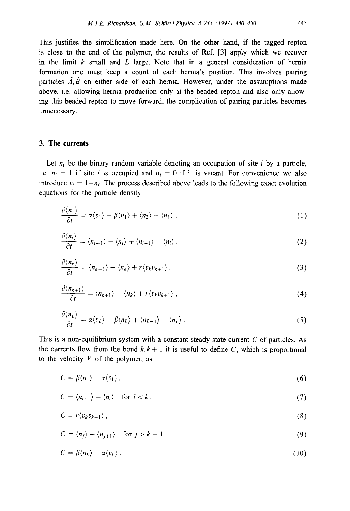This justifies the simplification made here. On the other hand, if the tagged repton is close to the end of the polymer, the results of Ref. [3] apply which we recover in the limit  $k$  small and  $L$  large. Note that in a general consideration of hernia formation one must keep a count of each hernia's position. This involves pairing particles  $\hat{A}, \hat{B}$  on either side of each hernia. However, under the assumptions made above, i.e. allowing hernia production only at the beaded repton and also only allowing this beaded repton to move forward, the complication of pairing particles becomes unnecessary.

## **3. The currents**

Let  $n_i$  be the binary random variable denoting an occupation of site i by a particle, i.e.  $n_i = 1$  if site i is occupied and  $n_i = 0$  if it is vacant. For convenience we also introduce  $v_i = 1-n_i$ . The process described above leads to the following exact evolution equations for the particle density:

$$
\frac{\partial \langle n_1 \rangle}{\partial t} = \alpha \langle v_1 \rangle - \beta \langle n_1 \rangle + \langle n_2 \rangle - \langle n_1 \rangle , \qquad (1)
$$

$$
\frac{\partial \langle n_i \rangle}{\partial t} = \langle n_{i-1} \rangle - \langle n_i \rangle + \langle n_{i+1} \rangle - \langle n_i \rangle, \qquad (2)
$$

$$
\frac{\partial \langle n_k \rangle}{\partial t} = \langle n_{k-1} \rangle - \langle n_k \rangle + r \langle v_k v_{k+1} \rangle, \qquad (3)
$$

$$
\frac{\partial \langle n_{k+1} \rangle}{\partial t} = \langle n_{k+1} \rangle - \langle n_k \rangle + r \langle v_k v_{k+1} \rangle, \qquad (4)
$$

$$
\frac{\partial \langle n_L \rangle}{\partial t} = \alpha \langle v_L \rangle - \beta \langle n_L \rangle + \langle n_{L-1} \rangle - \langle n_L \rangle \,. \tag{5}
$$

to the velocity  $V$  of the polymer, as This is a non-equilibrium system with a constant steady-state current  $C$  of particles. As the currents flow from the bond  $k, k + 1$  it is useful to define C, which is proportional

$$
C = \beta \langle n_1 \rangle - \alpha \langle v_1 \rangle \,, \tag{6}
$$

$$
C = \langle n_{i+1} \rangle - \langle n_i \rangle \quad \text{for } i < k \,, \tag{7}
$$

$$
C = r \langle v_k v_{k+1} \rangle, \tag{8}
$$

$$
C = \langle n_j \rangle - \langle n_{j+1} \rangle \quad \text{for } j > k+1 \,, \tag{9}
$$

$$
C = \beta \langle n_L \rangle - \alpha \langle v_L \rangle. \tag{10}
$$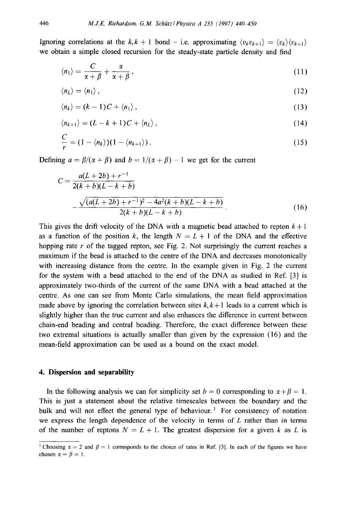Ignoring correlations at the  $k, k + 1$  bond – i.e. approximating  $\langle v_k v_{k+1} \rangle = \langle v_k \rangle \langle v_{k+1} \rangle$ we obtain a simple closed recursion for the steady-state particle density and find

$$
\langle n_1 \rangle = \frac{C}{\alpha + \beta} + \frac{\alpha}{\alpha + \beta},\tag{11}
$$

$$
\langle n_L \rangle = \langle n_1 \rangle \,, \tag{12}
$$

$$
\langle n_k \rangle = (k-1)C + \langle n_1 \rangle, \qquad (13)
$$

$$
\langle n_{k+1} \rangle = (L - k + 1)C + \langle n_L \rangle, \qquad (14)
$$

$$
\frac{C}{r} = (1 - \langle n_k \rangle)(1 - \langle n_{k+1} \rangle). \tag{15}
$$

Defining  $a = \beta/(\alpha + \beta)$  and  $b = 1/(\alpha + \beta) - 1$  we get for the current

$$
C = \frac{a(L+2b) + r^{-1}}{2(k+b)(L-k+b)}
$$
  
 
$$
-\frac{\sqrt{(a(L+2b) + r^{-1})^2 - 4a^2(k+b)(L-k+b)}}{2(k+b)(L-k+b)}.
$$
 (16)

This gives the drift velocity of the DNA with a magnetic bead attached to repton  $k+1$ as a function of the position k, the length  $N = L + 1$  of the DNA and the effective hopping rate r of the tagged repton, see Fig. 2. Not surprisingly the current reaches a maximum if the bead is attached to the centre of the DNA and decreases monotonically with increasing distance from the centre. In the example given in Fig. 2 the current for the system with a bead attached to the end of the DNA as studied in Ref. [3] is approximately two-thirds of the current of the same DNA with a bead attached at the centre. As one can see from Monte Carlo simulations, the mean field approximation made above by ignoring the correlation between sites  $k, k+1$  leads to a current which is slightly higher than the true current and also enhances the difference in current between chain-end beading and central beading. Therefore, the exact difference between these two extremal situations is actually smaller than given by the expression (16) and the mean-field approximation can be used as a bound on the exact model.

## **4. Dispersion and separability**

In the following analysis we can for simplicity set  $b = 0$  corresponding to  $\alpha + \beta = 1$ . This is just a statement about the relative timescales between the boundary and the bulk and will not effect the general type of behaviour.<sup>1</sup> For consistency of notation we express the length dependence of the velocity in terms of  $L$  rather than in terms of the number of reptons  $N = L + 1$ . The greatest dispersion for a given k as L is

<sup>&</sup>lt;sup>1</sup> Choosing  $\alpha = 2$  and  $\beta = 1$  corresponds to the choice of rates in Ref. [3]. In each of the figures we have chosen  $\alpha = \beta = 1$ .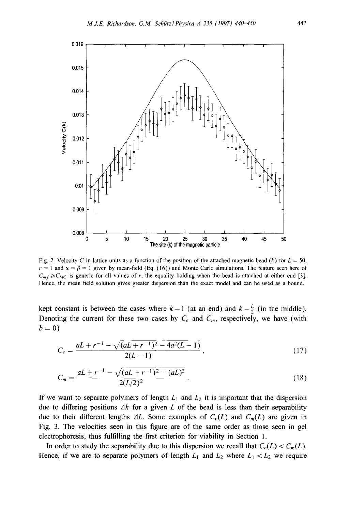

Fig. 2. Velocity C in lattice units as a function of the position of the attached magnetic bead (k) for  $L = 50$ ,  $r = 1$  and  $\alpha = \beta = 1$  given by mean-field (Eq. (16)) and Monte Carlo simulations. The feature seen here of  $C_{m f} \geq C_{MC}$  is generic for all values of r, the equality holding when the bead is attached at either end [3]. Hence, the mean field solution gives greater dispersion than the exact model and can be used as a bound.

kept constant is between the cases where  $k=1$  (at an end) and  $k=\frac{1}{2}$  (in the middle). Denoting the current for these two cases by  $C_e$  and  $C_m$ , respectively, we have (with  $b=0$ 

$$
C_e = \frac{aL + r^{-1} - \sqrt{(aL + r^{-1})^2 - 4a^2(L - 1)}}{2(L - 1)},
$$
\n(17)

$$
C_m = \frac{aL + r^{-1} - \sqrt{(aL + r^{-1})^2 - (aL)^2}}{2(L/2)^2} \,. \tag{18}
$$

If we want to separate polymers of length  $L_1$  and  $L_2$  it is important that the dispersion due to differing positions  $\Delta k$  for a given L of the bead is less than their separability due to their different lengths  $\Delta L$ . Some examples of  $C_e(L)$  and  $C_m(L)$  are given in Fig. 3. The velocities seen in this figure are of the same order as those seen in gel electrophoresis, thus fulfilling the first criterion for viability in Section 1.

In order to study the separability due to this dispersion we recall that  $C_e(L) < C_m(L)$ . Hence, if we are to separate polymers of length  $L_1$  and  $L_2$  where  $L_1 < L_2$  we require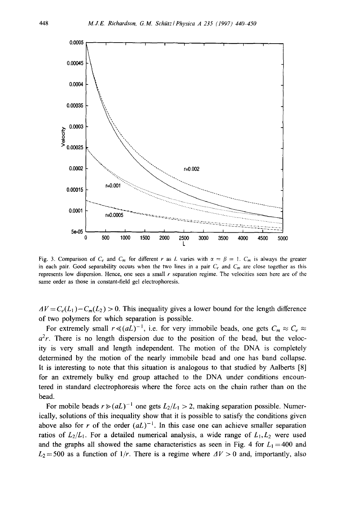

Fig. 3. Comparison of  $C_e$  and  $C_m$  for different r as L varies with  $\alpha = \beta = 1$ .  $C_m$  is always the greater in each pair. Good separability occurs when the two lines in a pair  $C_e$  and  $C_m$  are close together as this represents low dispersion. Hence, one sees a small  $r$  separation regime. The velocities seen here are of the same order as those in constant-field gel electrophoresis.

 $\Delta V = C_e(L_1) - C_m(L_2) > 0$ . This inequality gives a lower bound for the length difference of two polymers for which separation is possible.

For extremely small  $r \ll (aL)^{-1}$ , i.e. for very immobile beads, one gets  $C_m \approx C_e \approx$  $a^2r$ . There is no length dispersion due to the position of the bead, but the velocity is very small and length independent. The motion of the DNA is completely determined by the motion of the nearly immobile bead and one has band collapse. It is interesting to note that this situation is analogous to that studied by Aalberts [8] for an extremely bulky end group attached to the DNA under conditions encountered in standard electrophoresis where the force acts on the chain rather than on the bead.

For mobile beads  $r \geqslant (aL)^{-1}$  one gets  $L_2/L_1 > 2$ , making separation possible. Numerically, solutions of this inequality show that it is possible to satisfy the conditions given above also for r of the order  $(aL)^{-1}$ . In this case one can achieve smaller separation ratios of  $L_2/L_1$ . For a detailed numerical analysis, a wide range of  $L_1, L_2$  were used and the graphs all showed the same characteristics as seen in Fig. 4 for  $L_1 = 400$  and  $L_2$  = 500 as a function of 1/r. There is a regime where  $\Delta V > 0$  and, importantly, also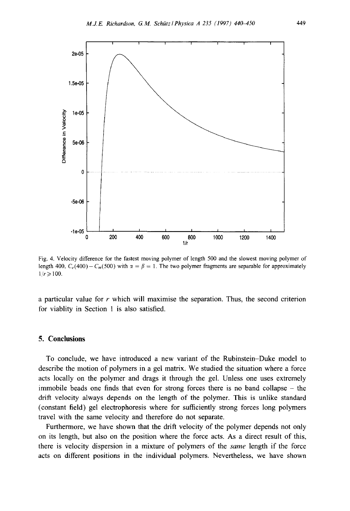

Fig. 4. Velocity difference for the fastest moving polymer of length 500 and the slowest moving polymer of length 400,  $C_e(400) - C_m(500)$  with  $\alpha = \beta = 1$ . The two polymer fragments are separable for approximately  $1/r \ge 100$ .

a particular value for r which will maximise the separation. Thus, the second criterion for viablity in Section 1 is also satisfied.

## **5. Conclusions**

To conclude, we have introduced a new variant of the Rubinstein-Duke model to describe the motion of polymers in a gel matrix. We studied the situation where a force acts locally on the polymer and drags it through the gel. Unless one uses extremely immobile beads one finds that even for strong forces there is no band collapse - the drift velocity always depends on the length of the polymer. This is unlike standard (constant field) gel electrophoresis where for sufficiently strong forces long polymers travel with the same velocity and therefore do not separate.

Furthermore, we have shown that the drift velocity of the polymer depends not only on its length, but also on the position where the force acts. As a direct result of this, there is velocity dispersion in a mixture of polymers of the *same* length if the force acts on different positions in the individual polymers. Nevertheless, we have shown